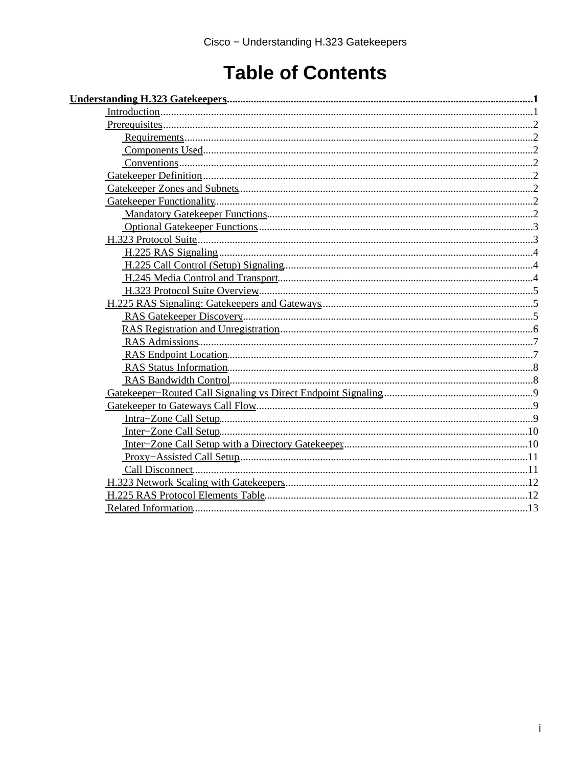# **Table of Contents**

| $Prerequires. \dots 22.$ |  |
|--------------------------|--|
|                          |  |
|                          |  |
|                          |  |
|                          |  |
|                          |  |
|                          |  |
|                          |  |
|                          |  |
|                          |  |
|                          |  |
|                          |  |
|                          |  |
|                          |  |
|                          |  |
|                          |  |
|                          |  |
|                          |  |
|                          |  |
|                          |  |
|                          |  |
|                          |  |
|                          |  |
|                          |  |
|                          |  |
|                          |  |
|                          |  |
|                          |  |
|                          |  |
|                          |  |
|                          |  |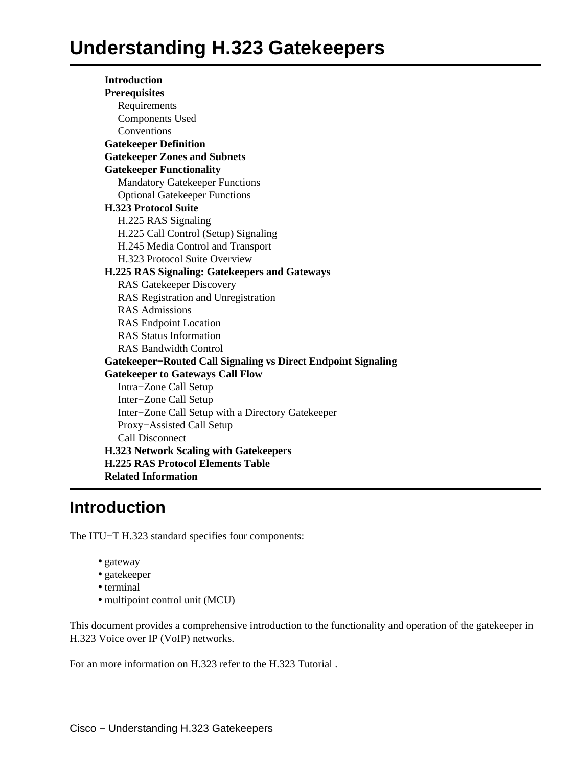<span id="page-1-0"></span>**Introduction Prerequisites** Requirements Components Used **Conventions Gatekeeper Definition Gatekeeper Zones and Subnets Gatekeeper Functionality** Mandatory Gatekeeper Functions Optional Gatekeeper Functions **H.323 Protocol Suite** H.225 RAS Signaling H.225 Call Control (Setup) Signaling H.245 Media Control and Transport H.323 Protocol Suite Overview **H.225 RAS Signaling: Gatekeepers and Gateways** RAS Gatekeeper Discovery RAS Registration and Unregistration RAS Admissions RAS Endpoint Location RAS Status Information RAS Bandwidth Control **Gatekeeper−Routed Call Signaling vs Direct Endpoint Signaling Gatekeeper to Gateways Call Flow** Intra−Zone Call Setup Inter−Zone Call Setup Inter−Zone Call Setup with a Directory Gatekeeper Proxy−Assisted Call Setup Call Disconnect **H.323 Network Scaling with Gatekeepers H.225 RAS Protocol Elements Table Related Information**

# <span id="page-1-1"></span>**Introduction**

The ITU−T H.323 standard specifies four components:

- gateway
- gatekeeper
- terminal
- multipoint control unit (MCU)

This document provides a comprehensive introduction to the functionality and operation of the gatekeeper in H.323 Voice over IP (VoIP) networks.

For an more information on H.323 refer to the H.323 Tutorial .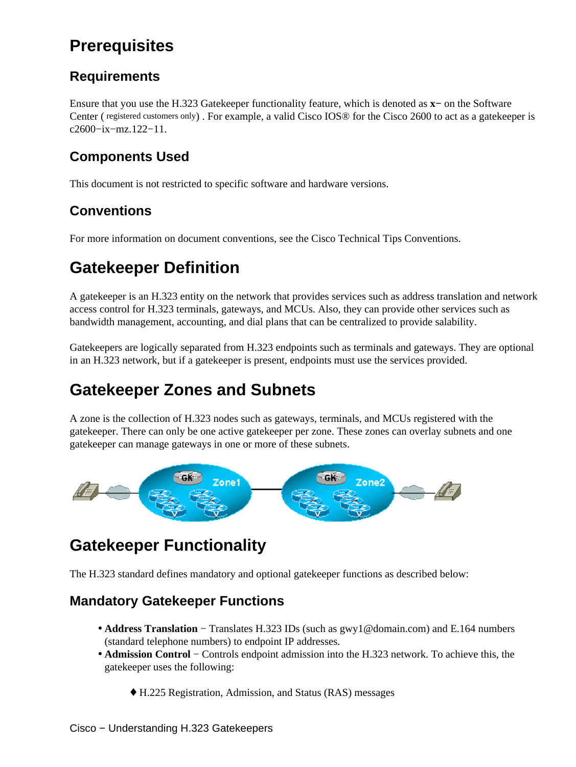# <span id="page-2-0"></span>**Prerequisites**

### <span id="page-2-1"></span>**Requirements**

Ensure that you use the H.323 Gatekeeper functionality feature, which is denoted as **x−** on the Software Center ( registered customers only) . For example, a valid Cisco IOS® for the Cisco 2600 to act as a gatekeeper is c2600−ix−mz.122−11.

## <span id="page-2-2"></span>**Components Used**

This document is not restricted to specific software and hardware versions.

## <span id="page-2-3"></span>**Conventions**

For more information on document conventions, see the Cisco Technical Tips Conventions.

# <span id="page-2-4"></span>**Gatekeeper Definition**

A gatekeeper is an H.323 entity on the network that provides services such as address translation and network access control for H.323 terminals, gateways, and MCUs. Also, they can provide other services such as bandwidth management, accounting, and dial plans that can be centralized to provide salability.

Gatekeepers are logically separated from H.323 endpoints such as terminals and gateways. They are optional in an H.323 network, but if a gatekeeper is present, endpoints must use the services provided.

# <span id="page-2-5"></span>**Gatekeeper Zones and Subnets**

A zone is the collection of H.323 nodes such as gateways, terminals, and MCUs registered with the gatekeeper. There can only be one active gatekeeper per zone. These zones can overlay subnets and one gatekeeper can manage gateways in one or more of these subnets.



# <span id="page-2-6"></span>**Gatekeeper Functionality**

The H.323 standard defines mandatory and optional gatekeeper functions as described below:

## <span id="page-2-7"></span>**Mandatory Gatekeeper Functions**

- Address Translation Translates H.323 IDs (such as gwy1@domain.com) and E.164 numbers (standard telephone numbers) to endpoint IP addresses.
- **Admission Control** − Controls endpoint admission into the H.323 network. To achieve this, the gatekeeper uses the following:
	- ♦ H.225 Registration, Admission, and Status (RAS) messages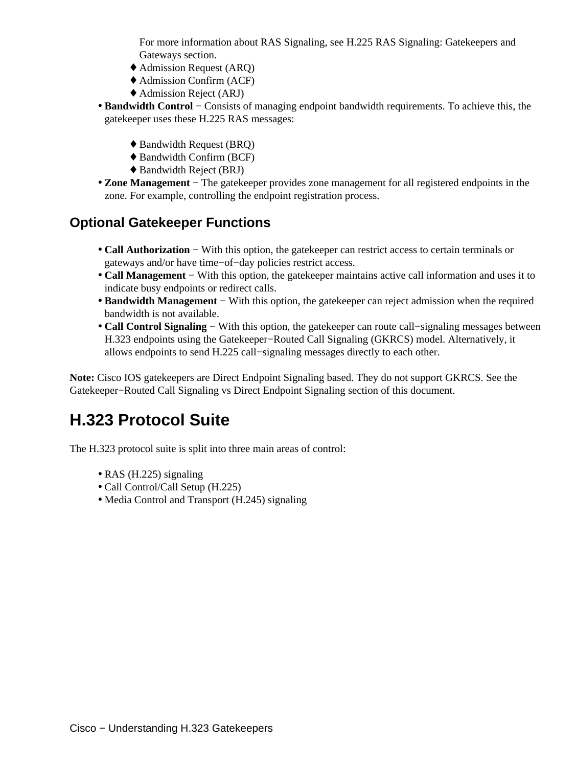For more information about RAS Signaling, see H.225 RAS Signaling: Gatekeepers and Gateways section.

- ♦ Admission Request (ARQ)
- ♦ Admission Confirm (ACF)
- ♦ Admission Reject (ARJ)
- **Bandwidth Control** − Consists of managing endpoint bandwidth requirements. To achieve this, the gatekeeper uses these H.225 RAS messages:
	- ♦ Bandwidth Request (BRQ)
	- ♦ Bandwidth Confirm (BCF)
	- ♦ Bandwidth Reject (BRJ)
- **Zone Management** − The gatekeeper provides zone management for all registered endpoints in the zone. For example, controlling the endpoint registration process.

#### <span id="page-3-0"></span>**Optional Gatekeeper Functions**

- **Call Authorization** − With this option, the gatekeeper can restrict access to certain terminals or gateways and/or have time−of−day policies restrict access.
- Call Management With this option, the gatekeeper maintains active call information and uses it to indicate busy endpoints or redirect calls.
- Bandwidth Management With this option, the gatekeeper can reject admission when the required bandwidth is not available.
- Call Control Signaling With this option, the gatekeeper can route call–signaling messages between H.323 endpoints using the Gatekeeper−Routed Call Signaling (GKRCS) model. Alternatively, it allows endpoints to send H.225 call−signaling messages directly to each other.

**Note:** Cisco IOS gatekeepers are Direct Endpoint Signaling based. They do not support GKRCS. See the Gatekeeper−Routed Call Signaling vs Direct Endpoint Signaling section of this document.

# <span id="page-3-1"></span>**H.323 Protocol Suite**

The H.323 protocol suite is split into three main areas of control:

- RAS (H.225) signaling
- Call Control/Call Setup (H.225)
- Media Control and Transport (H.245) signaling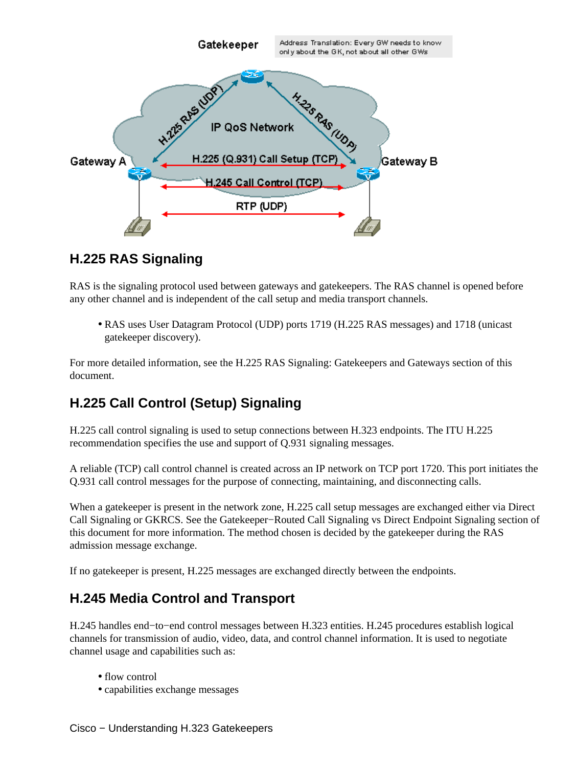

#### <span id="page-4-0"></span>**H.225 RAS Signaling**

RAS is the signaling protocol used between gateways and gatekeepers. The RAS channel is opened before any other channel and is independent of the call setup and media transport channels.

• RAS uses User Datagram Protocol (UDP) ports 1719 (H.225 RAS messages) and 1718 (unicast gatekeeper discovery).

For more detailed information, see the H.225 RAS Signaling: Gatekeepers and Gateways section of this document.

#### <span id="page-4-1"></span>**H.225 Call Control (Setup) Signaling**

H.225 call control signaling is used to setup connections between H.323 endpoints. The ITU H.225 recommendation specifies the use and support of Q.931 signaling messages.

A reliable (TCP) call control channel is created across an IP network on TCP port 1720. This port initiates the Q.931 call control messages for the purpose of connecting, maintaining, and disconnecting calls.

When a gatekeeper is present in the network zone, H.225 call setup messages are exchanged either via Direct Call Signaling or GKRCS. See the Gatekeeper−Routed Call Signaling vs Direct Endpoint Signaling section of this document for more information. The method chosen is decided by the gatekeeper during the RAS admission message exchange.

If no gatekeeper is present, H.225 messages are exchanged directly between the endpoints.

#### <span id="page-4-2"></span>**H.245 Media Control and Transport**

H.245 handles end−to−end control messages between H.323 entities. H.245 procedures establish logical channels for transmission of audio, video, data, and control channel information. It is used to negotiate channel usage and capabilities such as:

- flow control
- capabilities exchange messages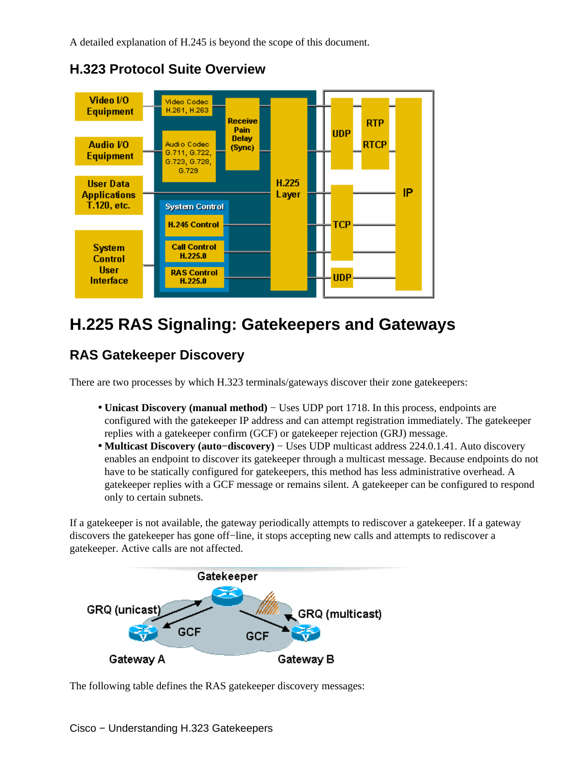A detailed explanation of H.245 is beyond the scope of this document.

<span id="page-5-0"></span>

**H.323 Protocol Suite Overview**

# <span id="page-5-1"></span>**H.225 RAS Signaling: Gatekeepers and Gateways**

## <span id="page-5-2"></span>**RAS Gatekeeper Discovery**

There are two processes by which H.323 terminals/gateways discover their zone gatekeepers:

- Unicast Discovery (manual method) Uses UDP port 1718. In this process, endpoints are configured with the gatekeeper IP address and can attempt registration immediately. The gatekeeper replies with a gatekeeper confirm (GCF) or gatekeeper rejection (GRJ) message.
- **Multicast Discovery (auto−discovery)** − Uses UDP multicast address 224.0.1.41. Auto discovery enables an endpoint to discover its gatekeeper through a multicast message. Because endpoints do not have to be statically configured for gatekeepers, this method has less administrative overhead. A gatekeeper replies with a GCF message or remains silent. A gatekeeper can be configured to respond only to certain subnets.

If a gatekeeper is not available, the gateway periodically attempts to rediscover a gatekeeper. If a gateway discovers the gatekeeper has gone off−line, it stops accepting new calls and attempts to rediscover a gatekeeper. Active calls are not affected.



The following table defines the RAS gatekeeper discovery messages: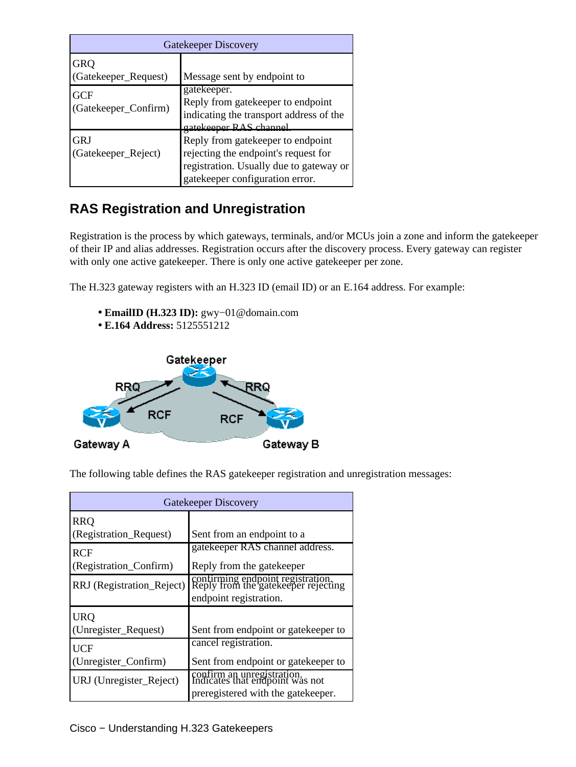| Gatekeeper Discovery               |                                                                                                                                                          |
|------------------------------------|----------------------------------------------------------------------------------------------------------------------------------------------------------|
| GRQ<br>(Gatekeeper_Request)        | Message sent by endpoint to                                                                                                                              |
| <b>GCF</b><br>(Gatekeeper_Confirm) | gatekeeper.<br>Reply from gate keeper to endpoint<br>indicating the transport address of the<br>gatekeener RAS channel                                   |
| <b>GRJ</b><br>(Gatekeeper_Reject)  | Reply from gate keeper to endpoint<br>rejecting the endpoint's request for<br>registration. Usually due to gateway or<br>gatekeeper configuration error. |

## <span id="page-6-0"></span>**RAS Registration and Unregistration**

Registration is the process by which gateways, terminals, and/or MCUs join a zone and inform the gatekeeper of their IP and alias addresses. Registration occurs after the discovery process. Every gateway can register with only one active gatekeeper. There is only one active gatekeeper per zone.

The H.323 gateway registers with an H.323 ID (email ID) or an E.164 address. For example:

- **EmailID (H.323 ID):** gwy−01@domain.com
- **E.164 Address:** 5125551212



The following table defines the RAS gatekeeper registration and unregistration messages:

| Gatekeeper Discovery      |                                                                          |
|---------------------------|--------------------------------------------------------------------------|
| <b>RRO</b>                |                                                                          |
| (Registration_Request)    | Sent from an endpoint to a                                               |
| RCF                       | gatekeeper RAS channel address.                                          |
| (Registration_Confirm)    | Reply from the gate keeper                                               |
| RRJ (Registration_Reject) | confirming endpoint registration.<br>Reply from the gatekeeper rejecting |
|                           | endpoint registration.                                                   |
| <b>URQ</b>                |                                                                          |
| (Unregister_Request)      | Sent from endpoint or gate keeper to                                     |
| UCF                       | cancel registration.                                                     |
| (Unregister_Confirm)      | Sent from endpoint or gate keeper to                                     |
| URJ (Unregister_Reject)   | confirm an unregistration.<br>Indicates that endpoint was not            |
|                           | preregistered with the gate keeper.                                      |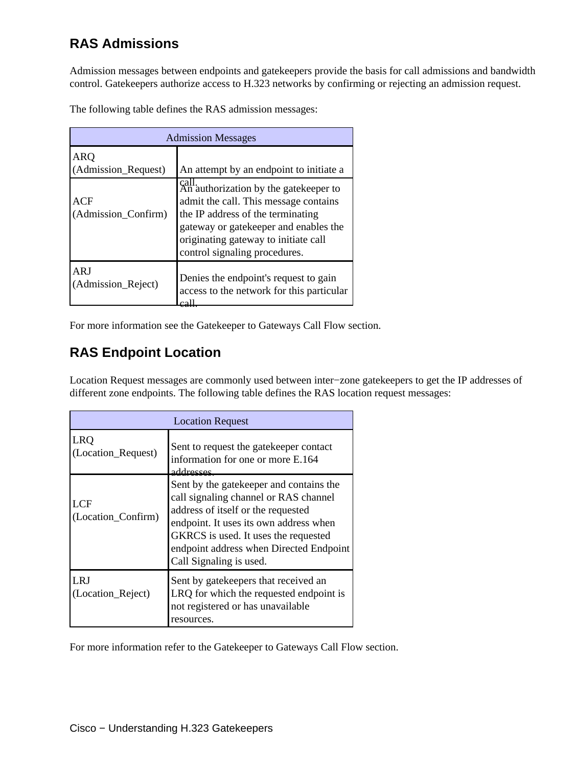## <span id="page-7-0"></span>**RAS Admissions**

Admission messages between endpoints and gatekeepers provide the basis for call admissions and bandwidth control. Gatekeepers authorize access to H.323 networks by confirming or rejecting an admission request.

The following table defines the RAS admission messages:

| <b>Admission Messages</b>                                       |                                                                                                                                                                                                                                                                                           |  |
|-----------------------------------------------------------------|-------------------------------------------------------------------------------------------------------------------------------------------------------------------------------------------------------------------------------------------------------------------------------------------|--|
| <b>ARQ</b><br>(Admission_Request)<br>ACF<br>(Admission_Confirm) | An attempt by an endpoint to initiate a<br>call.<br>An authorization by the gatekeeper to<br>admit the call. This message contains<br>the IP address of the terminating<br>gateway or gatekeeper and enables the<br>originating gateway to initiate call<br>control signaling procedures. |  |
| ARI<br>(Admission_Reject)                                       | Denies the endpoint's request to gain<br>access to the network for this particular                                                                                                                                                                                                        |  |

For more information see the Gatekeeper to Gateways Call Flow section.

#### <span id="page-7-1"></span>**RAS Endpoint Location**

Location Request messages are commonly used between inter−zone gatekeepers to get the IP addresses of different zone endpoints. The following table defines the RAS location request messages:

| <b>Location Request</b>          |                                                                                                                                                                                                                                                                                |  |
|----------------------------------|--------------------------------------------------------------------------------------------------------------------------------------------------------------------------------------------------------------------------------------------------------------------------------|--|
| <b>LRO</b><br>(Location_Request) | Sent to request the gate keeper contact<br>information for one or more E.164<br>addresses                                                                                                                                                                                      |  |
| <b>LCF</b><br>(Location_Confirm) | Sent by the gatekeeper and contains the<br>call signaling channel or RAS channel<br>address of itself or the requested<br>endpoint. It uses its own address when<br>GKRCS is used. It uses the requested<br>endpoint address when Directed Endpoint<br>Call Signaling is used. |  |
| LRJ<br>(Location_Reject)         | Sent by gate keepers that received an<br>LRQ for which the requested endpoint is<br>not registered or has unavailable<br>resources.                                                                                                                                            |  |

For more information refer to the Gatekeeper to Gateways Call Flow section.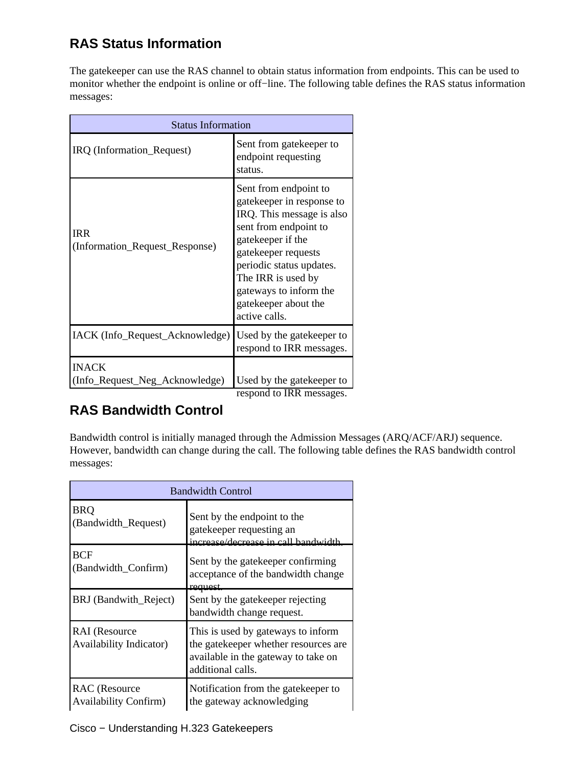## <span id="page-8-0"></span>**RAS Status Information**

The gatekeeper can use the RAS channel to obtain status information from endpoints. This can be used to monitor whether the endpoint is online or off−line. The following table defines the RAS status information messages:

| <b>Status Information</b>                      |                                                                                                                                                                                                                                                                           |  |
|------------------------------------------------|---------------------------------------------------------------------------------------------------------------------------------------------------------------------------------------------------------------------------------------------------------------------------|--|
| IRQ (Information_Request)                      | Sent from gatekeeper to<br>endpoint requesting<br>status.                                                                                                                                                                                                                 |  |
| <b>IRR</b><br>(Information_Request_Response)   | Sent from endpoint to<br>gatekeeper in response to<br>IRQ. This message is also<br>sent from endpoint to<br>gatekeeper if the<br>gatekeeper requests<br>periodic status updates.<br>The IRR is used by<br>gateways to inform the<br>gatekeeper about the<br>active calls. |  |
| IACK (Info_Request_Acknowledge)                | Used by the gate keeper to<br>respond to IRR messages.                                                                                                                                                                                                                    |  |
| <b>INACK</b><br>(Info_Request_Neg_Acknowledge) | Used by the gate keeper to<br>respond to IRR messages.                                                                                                                                                                                                                    |  |

## <span id="page-8-1"></span>**RAS Bandwidth Control**

Bandwidth control is initially managed through the Admission Messages (ARQ/ACF/ARJ) sequence. However, bandwidth can change during the call. The following table defines the RAS bandwidth control messages:

| <b>Bandwidth Control</b>                               |                                                                                                                                        |  |
|--------------------------------------------------------|----------------------------------------------------------------------------------------------------------------------------------------|--|
| <b>BRQ</b><br>(Bandwidth_Request)                      | Sent by the endpoint to the<br>gatekeeper requesting an<br>increase/decrease in call handwidth                                         |  |
| <b>BCF</b><br>(Bandwidth_Confirm)                      | Sent by the gate keeper confirming<br>acceptance of the bandwidth change<br>request                                                    |  |
| BRJ (Bandwith_Reject)                                  | Sent by the gate keeper rejecting<br>bandwidth change request.                                                                         |  |
| <b>RAI</b> (Resource<br><b>Availability Indicator)</b> | This is used by gateways to inform<br>the gatekeeper whether resources are<br>available in the gateway to take on<br>additional calls. |  |
| <b>RAC</b> (Resource<br><b>Availability Confirm)</b>   | Notification from the gatekeeper to<br>the gateway acknowledging                                                                       |  |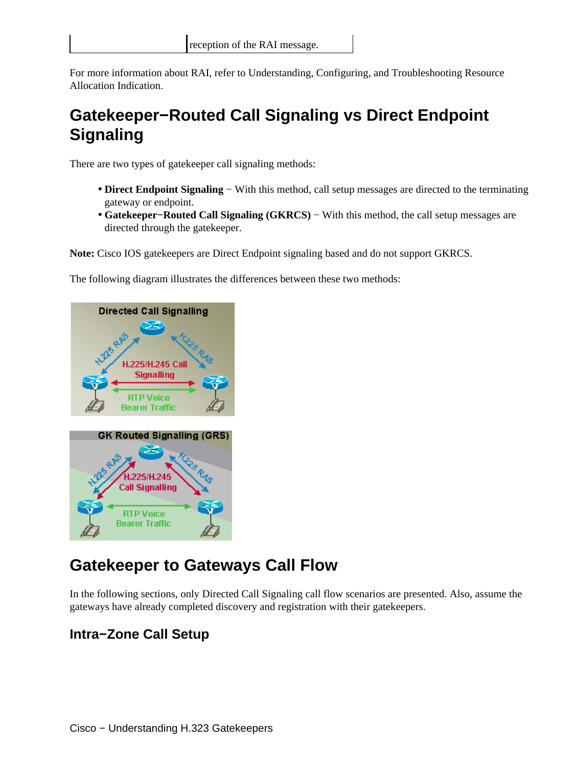For more information about RAI, refer to Understanding, Configuring, and Troubleshooting Resource Allocation Indication.

# <span id="page-9-0"></span>**Gatekeeper−Routed Call Signaling vs Direct Endpoint Signaling**

There are two types of gatekeeper call signaling methods:

- Direct Endpoint Signaling With this method, call setup messages are directed to the terminating gateway or endpoint.
- Gatekeeper–Routed Call Signaling (GKRCS) With this method, the call setup messages are directed through the gatekeeper.

**Note:** Cisco IOS gatekeepers are Direct Endpoint signaling based and do not support GKRCS.

The following diagram illustrates the differences between these two methods:



# <span id="page-9-1"></span>**Gatekeeper to Gateways Call Flow**

In the following sections, only Directed Call Signaling call flow scenarios are presented. Also, assume the gateways have already completed discovery and registration with their gatekeepers.

#### <span id="page-9-2"></span>**Intra−Zone Call Setup**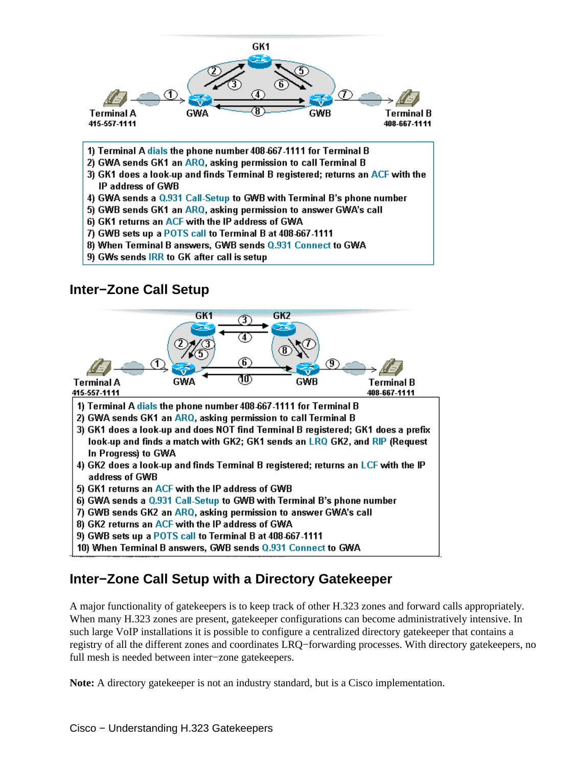

- 1) Terminal A dials the phone number 408-667-1111 for Terminal B
- 2) GWA sends GK1 an ARQ, asking permission to call Terminal B
- 3) GK1 does a look-up and finds Terminal B registered; returns an ACF with the IP address of GWB
- 4) GWA sends a Q.931 Call-Setup to GWB with Terminal B's phone number
- 5) GWB sends GK1 an ARQ, asking permission to answer GWA's call
- 6) GK1 returns an ACF with the IP address of GWA
- 7) GWB sets up a POTS call to Terminal B at 408-667-1111
- 8) When Terminal B answers, GWB sends Q.931 Connect to GWA
- 9) GWs sends IRR to GK after call is setup

#### **Inter−Zone Call Setup**

<span id="page-10-0"></span>

## <span id="page-10-1"></span>**Inter−Zone Call Setup with a Directory Gatekeeper**

A major functionality of gatekeepers is to keep track of other H.323 zones and forward calls appropriately. When many H.323 zones are present, gatekeeper configurations can become administratively intensive. In such large VoIP installations it is possible to configure a centralized directory gatekeeper that contains a registry of all the different zones and coordinates LRQ−forwarding processes. With directory gatekeepers, no full mesh is needed between inter−zone gatekeepers.

**Note:** A directory gatekeeper is not an industry standard, but is a Cisco implementation.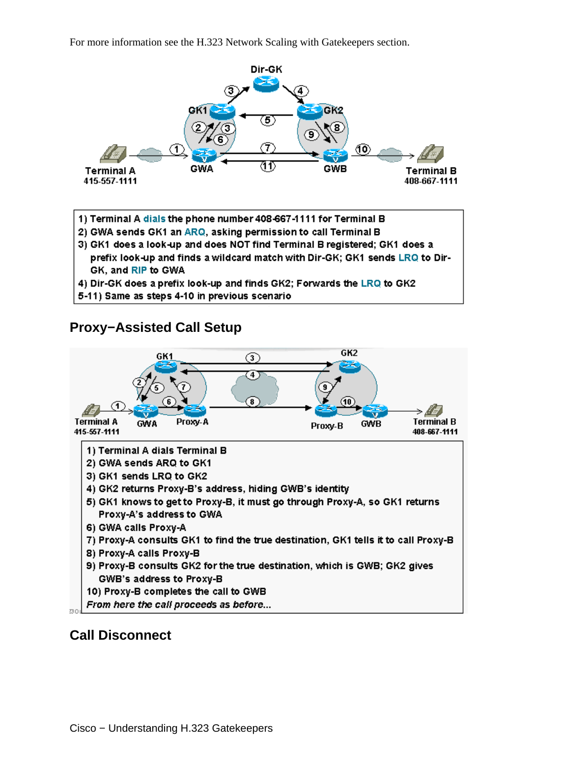For more information see the H.323 Network Scaling with Gatekeepers section.



- 1) Terminal A dials the phone number 408-667-1111 for Terminal B
- 2) GWA sends GK1 an ARQ, asking permission to call Terminal B
- 3) GK1 does a look-up and does NOT find Terminal B registered; GK1 does a prefix look-up and finds a wildcard match with Dir-GK; GK1 sends LRQ to Dir-GK, and RIP to GWA
- 4) Dir-GK does a prefix look-up and finds GK2; Forwards the LRQ to GK2
- 5-11) Same as steps 4-10 in previous scenario

#### **Proxy−Assisted Call Setup**

<span id="page-11-0"></span>

#### <span id="page-11-1"></span>**Call Disconnect**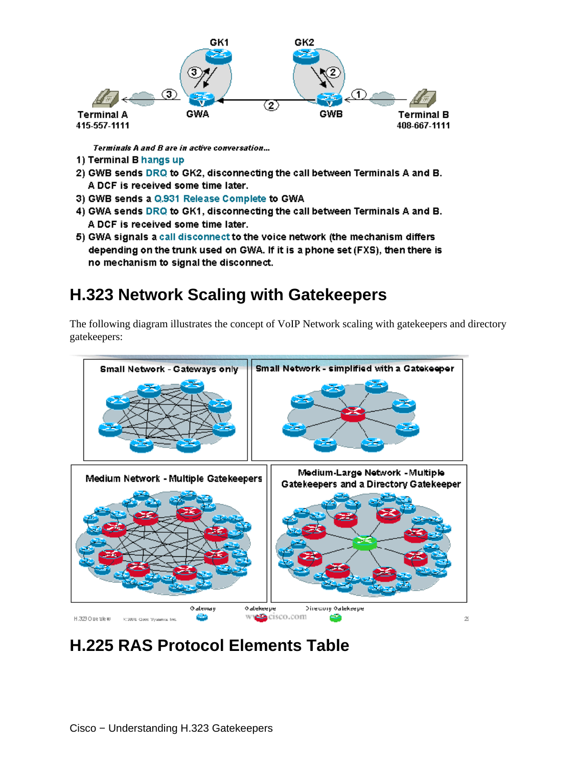

Terminals A and B are in active conversation...

- 1) Terminal B hangs up
- 2) GWB sends DRQ to GK2, disconnecting the call between Terminals A and B. A DCF is received some time later.
- 3) GWB sends a Q.931 Release Complete to GWA
- 4) GWA sends DRQ to GK1, disconnecting the call between Terminals A and B. A DCF is received some time later.
- 5) GWA signals a call disconnect to the voice network (the mechanism differs depending on the trunk used on GWA. If it is a phone set (FXS), then there is no mechanism to signal the disconnect.

# <span id="page-12-0"></span>**H.323 Network Scaling with Gatekeepers**

The following diagram illustrates the concept of VoIP Network scaling with gatekeepers and directory gatekeepers:



<span id="page-12-1"></span>**H.225 RAS Protocol Elements Table**